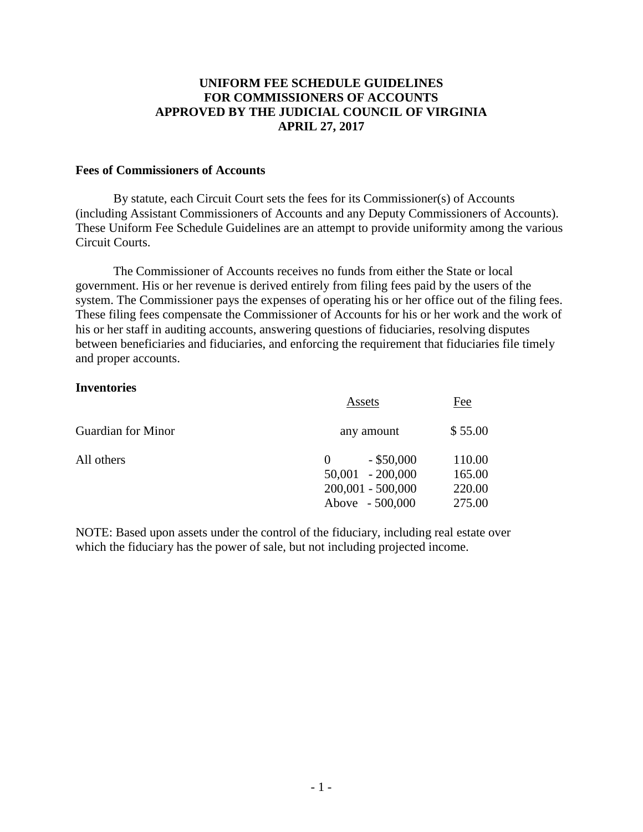# **UNIFORM FEE SCHEDULE GUIDELINES FOR COMMISSIONERS OF ACCOUNTS APPROVED BY THE JUDICIAL COUNCIL OF VIRGINIA APRIL 27, 2017**

### **Fees of Commissioners of Accounts**

By statute, each Circuit Court sets the fees for its Commissioner(s) of Accounts (including Assistant Commissioners of Accounts and any Deputy Commissioners of Accounts). These Uniform Fee Schedule Guidelines are an attempt to provide uniformity among the various Circuit Courts.

 The Commissioner of Accounts receives no funds from either the State or local government. His or her revenue is derived entirely from filing fees paid by the users of the system. The Commissioner pays the expenses of operating his or her office out of the filing fees. These filing fees compensate the Commissioner of Accounts for his or her work and the work of his or her staff in auditing accounts, answering questions of fiduciaries, resolving disputes between beneficiaries and fiduciaries, and enforcing the requirement that fiduciaries file timely and proper accounts.

## **Inventories**

|                    | Assets                                         | Fee              |
|--------------------|------------------------------------------------|------------------|
| Guardian for Minor | any amount                                     | \$55.00          |
| All others         | $-$ \$50,000<br>$\theta$<br>$50,001 - 200,000$ | 110.00<br>165.00 |
|                    | $200,001 - 500,000$                            | 220.00           |
|                    | Above - 500,000                                | 275.00           |

NOTE: Based upon assets under the control of the fiduciary, including real estate over which the fiduciary has the power of sale, but not including projected income.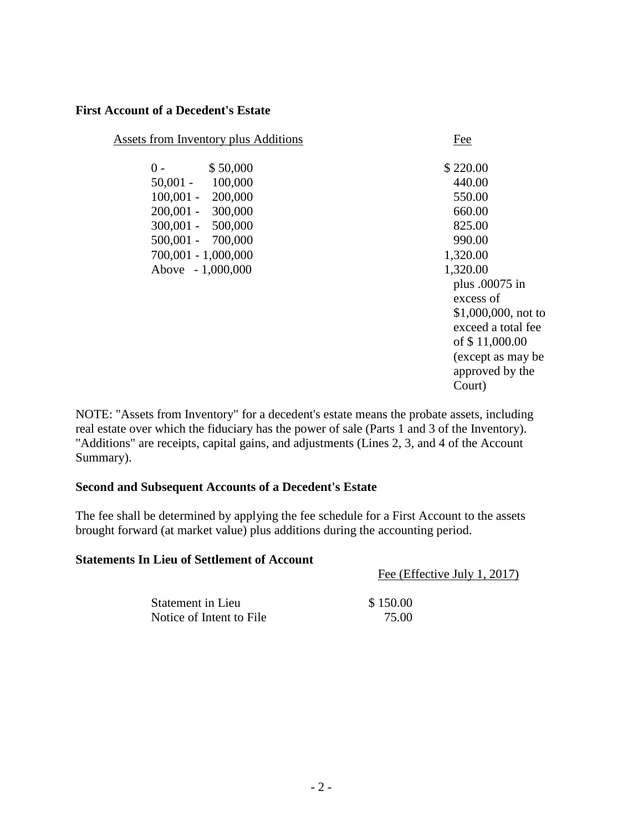### **First Account of a Decedent's Estate**

| <b>Assets from Inventory plus Additions</b>                                                                                                                                    | Fee                                                                                                                                        |
|--------------------------------------------------------------------------------------------------------------------------------------------------------------------------------|--------------------------------------------------------------------------------------------------------------------------------------------|
| \$50,000<br>$0 -$<br>$50,001 -$<br>100,000<br>$100,001 - 200,000$<br>200,001 - 300,000<br>$300,001 - 500,000$<br>500,001 - 700,000<br>700,001 - 1,000,000<br>Above - 1,000,000 | \$220.00<br>440.00<br>550.00<br>660.00<br>825.00<br>990.00<br>1,320.00<br>1,320.00<br>plus .00075 in<br>excess of<br>$$1,000,000$ , not to |
|                                                                                                                                                                                | exceed a total fee<br>of \$11,000.00<br>(except as may be                                                                                  |
|                                                                                                                                                                                | approved by the<br>Court)                                                                                                                  |
|                                                                                                                                                                                |                                                                                                                                            |

NOTE: "Assets from Inventory" for a decedent's estate means the probate assets, including real estate over which the fiduciary has the power of sale (Parts 1 and 3 of the Inventory). "Additions" are receipts, capital gains, and adjustments (Lines 2, 3, and 4 of the Account Summary).

## **Second and Subsequent Accounts of a Decedent's Estate**

The fee shall be determined by applying the fee schedule for a First Account to the assets brought forward (at market value) plus additions during the accounting period.

### **Statements In Lieu of Settlement of Account**

Fee (Effective July 1, 2017)

| Statement in Lieu        | \$150.00 |
|--------------------------|----------|
| Notice of Intent to File | 75.00    |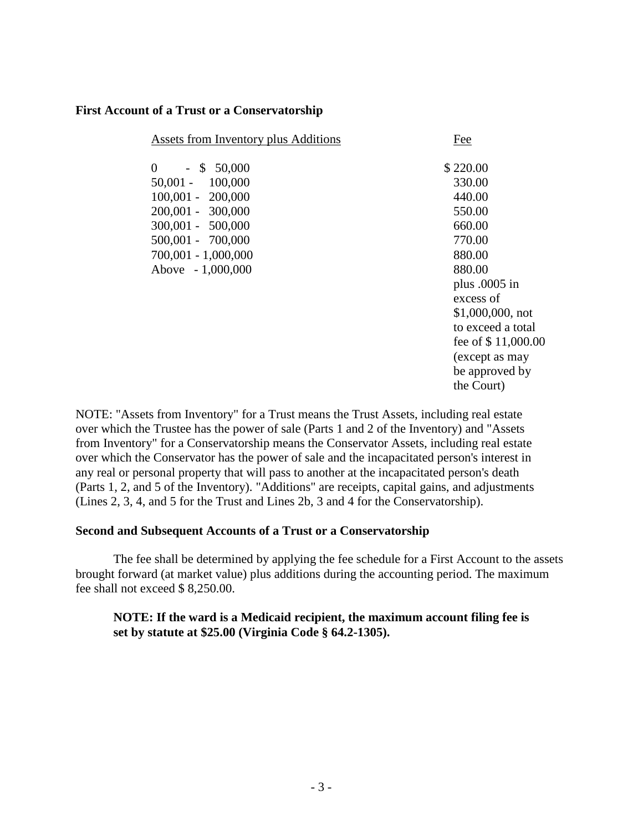### **First Account of a Trust or a Conservatorship**

| Assets from Inventory plus Additions | Fee                |
|--------------------------------------|--------------------|
| $\theta$<br>$-$ \$ 50,000            | \$220.00           |
| $50,001 -$<br>100,000                | 330.00             |
| $100,001 - 200,000$                  | 440.00             |
| 200,001 - 300,000                    | 550.00             |
| 300,001 - 500,000                    | 660.00             |
| 500,001 - 700,000                    | 770.00             |
| 700,001 - 1,000,000                  | 880.00             |
| Above - 1,000,000                    | 880.00             |
|                                      | plus $.0005$ in    |
|                                      | excess of          |
|                                      | $$1,000,000,$ not  |
|                                      | to exceed a total  |
|                                      | fee of \$11,000.00 |
|                                      | (except as may     |
|                                      | be approved by     |

the Court)

NOTE: "Assets from Inventory" for a Trust means the Trust Assets, including real estate over which the Trustee has the power of sale (Parts 1 and 2 of the Inventory) and "Assets from Inventory" for a Conservatorship means the Conservator Assets, including real estate over which the Conservator has the power of sale and the incapacitated person's interest in any real or personal property that will pass to another at the incapacitated person's death (Parts 1, 2, and 5 of the Inventory). "Additions" are receipts, capital gains, and adjustments (Lines 2, 3, 4, and 5 for the Trust and Lines 2b, 3 and 4 for the Conservatorship).

#### **Second and Subsequent Accounts of a Trust or a Conservatorship**

 The fee shall be determined by applying the fee schedule for a First Account to the assets brought forward (at market value) plus additions during the accounting period. The maximum fee shall not exceed \$ 8,250.00.

# **NOTE: If the ward is a Medicaid recipient, the maximum account filing fee is set by statute at \$25.00 (Virginia Code § 64.2-1305).**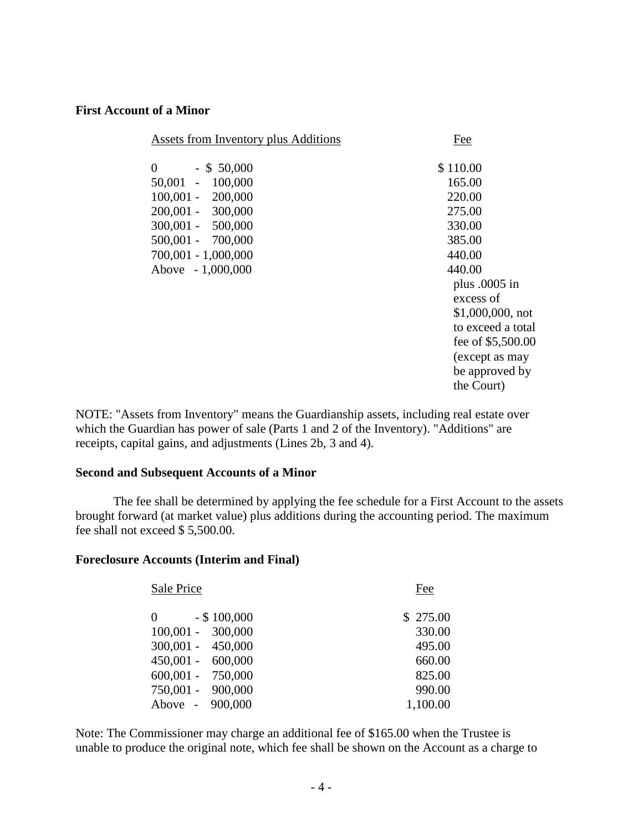### **First Account of a Minor**

| Assets from Inventory plus Additions | Fee                      |
|--------------------------------------|--------------------------|
| $\theta$<br>$-$ \$ 50,000            | \$110.00                 |
| 50,001 - 100,000                     | 165.00                   |
| $100,001 - 200,000$                  | 220.00                   |
| 200,001 - 300,000                    | 275.00                   |
| 300,001 - 500,000                    | 330.00                   |
| 500,001 - 700,000                    | 385.00                   |
| 700,001 - 1,000,000                  | 440.00                   |
| Above - 1,000,000                    | 440.00                   |
|                                      | plus $.0005$ in          |
|                                      | excess of                |
|                                      | $$1,000,000, \text{not}$ |
|                                      | to exceed a total        |
|                                      | fee of \$5,500.00        |
|                                      | (except as may           |
|                                      | be approved by           |
|                                      | the Court)               |

NOTE: "Assets from Inventory" means the Guardianship assets, including real estate over which the Guardian has power of sale (Parts 1 and 2 of the Inventory). "Additions" are receipts, capital gains, and adjustments (Lines 2b, 3 and 4).

#### **Second and Subsequent Accounts of a Minor**

The fee shall be determined by applying the fee schedule for a First Account to the assets brought forward (at market value) plus additions during the accounting period. The maximum fee shall not exceed \$ 5,500.00.

## **Foreclosure Accounts (Interim and Final)**

| Sale Price          |                | <b>Fee</b> |
|---------------------|----------------|------------|
| $\theta$            | $-$ \$ 100,000 | \$275.00   |
| $100,001 - 300,000$ |                | 330.00     |
| $300,001 - 450,000$ |                | 495.00     |
| $450,001 - 600,000$ |                | 660.00     |
| $600,001 - 750,000$ |                | 825.00     |
| 750,001 - 900,000   |                | 990.00     |
| Above - 900,000     |                | 1,100.00   |

Note: The Commissioner may charge an additional fee of \$165.00 when the Trustee is unable to produce the original note, which fee shall be shown on the Account as a charge to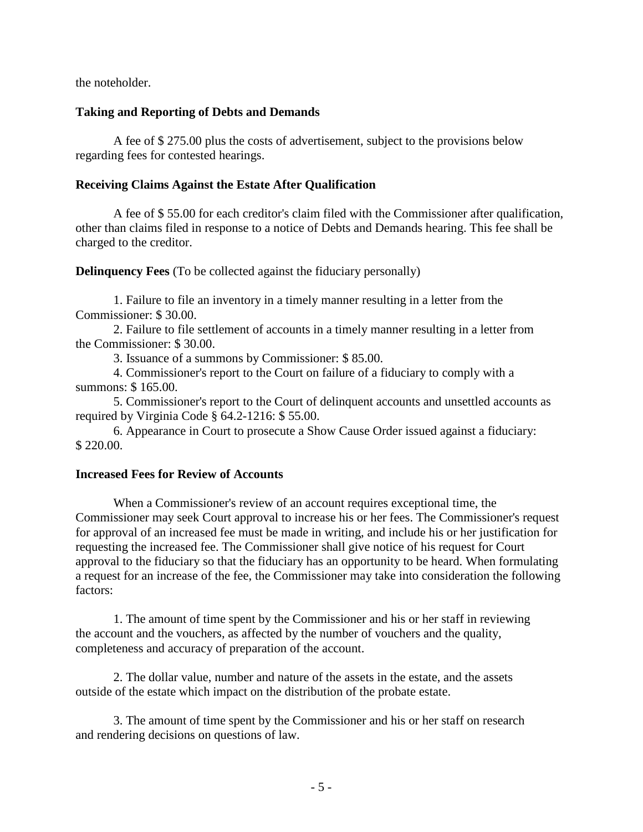the noteholder.

## **Taking and Reporting of Debts and Demands**

A fee of \$ 275.00 plus the costs of advertisement, subject to the provisions below regarding fees for contested hearings.

# **Receiving Claims Against the Estate After Qualification**

A fee of \$ 55.00 for each creditor's claim filed with the Commissioner after qualification, other than claims filed in response to a notice of Debts and Demands hearing. This fee shall be charged to the creditor.

**Delinquency Fees** (To be collected against the fiduciary personally)

1. Failure to file an inventory in a timely manner resulting in a letter from the Commissioner: \$ 30.00.

2. Failure to file settlement of accounts in a timely manner resulting in a letter from the Commissioner: \$ 30.00.

3. Issuance of a summons by Commissioner: \$ 85.00.

 4. Commissioner's report to the Court on failure of a fiduciary to comply with a summons: \$ 165.00.

 5. Commissioner's report to the Court of delinquent accounts and unsettled accounts as required by Virginia Code § 64.2-1216: \$ 55.00.

 6. Appearance in Court to prosecute a Show Cause Order issued against a fiduciary: \$ 220.00.

## **Increased Fees for Review of Accounts**

 When a Commissioner's review of an account requires exceptional time, the Commissioner may seek Court approval to increase his or her fees. The Commissioner's request for approval of an increased fee must be made in writing, and include his or her justification for requesting the increased fee. The Commissioner shall give notice of his request for Court approval to the fiduciary so that the fiduciary has an opportunity to be heard. When formulating a request for an increase of the fee, the Commissioner may take into consideration the following factors:

 1. The amount of time spent by the Commissioner and his or her staff in reviewing the account and the vouchers, as affected by the number of vouchers and the quality, completeness and accuracy of preparation of the account.

 2. The dollar value, number and nature of the assets in the estate, and the assets outside of the estate which impact on the distribution of the probate estate.

 3. The amount of time spent by the Commissioner and his or her staff on research and rendering decisions on questions of law.